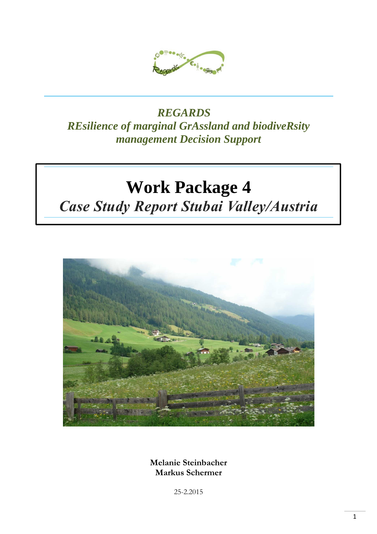

### *REGARDS REsilience of marginal GrAssland and biodiveRsity management Decision Support*

# **Work Package 4**

## *Case Study Report Stubai Valley/Austria*



**Melanie Steinbacher Markus Schermer** 

25-2.2015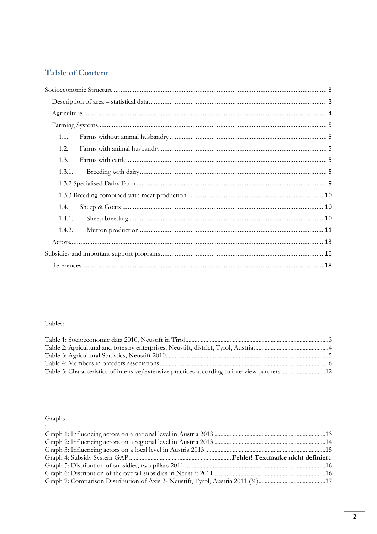### **Table of Content**

| 1.1.   |  |
|--------|--|
| 1.2.   |  |
| 1.3.   |  |
| 1.3.1. |  |
|        |  |
|        |  |
| 1.4.   |  |
| 1.4.1. |  |
| 1.4.2. |  |
|        |  |
|        |  |
|        |  |

### Tables:

### Graphs

| $\mathbb{R}^{\mathbb{Z}}$ |  |
|---------------------------|--|
|                           |  |
|                           |  |
|                           |  |
|                           |  |
|                           |  |
|                           |  |
|                           |  |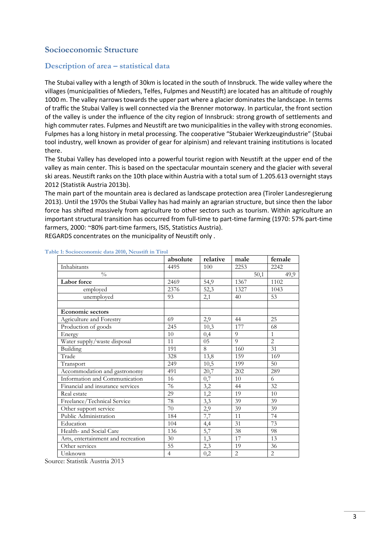### **Socioeconomic Structure**

### **Description of area – statistical data**

The Stubai valley with a length of 30km is located in the south of Innsbruck. The wide valley where the villages (municipalities of Mieders, Telfes, Fulpmes and Neustift) are located has an altitude of roughly 1000 m. The valley narrows towards the upper part where a glacier dominates the landscape. In terms of traffic the Stubai Valley is well connected via the Brenner motorway. In particular, the front section of the valley is under the influence of the city region of Innsbruck: strong growth of settlements and high commuter rates. Fulpmes and Neustift are two municipalities in the valley with strong economies. Fulpmes has a long history in metal processing. The cooperative "Stubaier Werkzeugindustrie" (Stubai tool industry, well known as provider of gear for alpinism) and relevant training institutions is located there.

The Stubai Valley has developed into a powerful tourist region with Neustift at the upper end of the valley as main center. This is based on the spectacular mountain scenery and the glacier with several ski areas. Neustift ranks on the 10th place within Austria with a total sum of 1.205.613 overnight stays 2012 (Statistik Austria 2013b).

The main part of the mountain area is declared as landscape protection area (Tiroler Landesregierung 2013). Until the 1970s the Stubai Valley has had mainly an agrarian structure, but since then the labor force has shifted massively from agriculture to other sectors such as tourism. Within agriculture an important structural transition has occurred from full-time to part-time farming (1970: 57% part-time farmers, 2000: ~80% part-time farmers, ISIS, Statistics Austria).

REGARDS concentrates on the municipality of Neustift only .

|                                    | absolute       | relative        | male           | female         |
|------------------------------------|----------------|-----------------|----------------|----------------|
| Inhabitants                        | 4495           | 100             | 2253           | 2242           |
| $\frac{0}{0}$                      |                |                 | 50,1           | 49,9           |
| Labor force                        | 2469           | 54,9            | 1367           | 1102           |
| employed                           | 2376           | 52,3            | 1327           | 1043           |
| unemployed                         | 93             | 2,1             | 40             | 53             |
|                                    |                |                 |                |                |
| <b>Economic sectors</b>            |                |                 |                |                |
| Agriculture and Forestry           | 69             | 2,9             | 44             | 25             |
| Production of goods                | 245            | 10,3            | 177            | 68             |
| Energy                             | 10             | 0,4             | 9              | $\mathbf{1}$   |
| Water supply/waste disposal        | 11             | $\overline{05}$ | 9              | $\overline{2}$ |
| Building                           | 191            | 8               | 160            | 31             |
| Trade                              | 328            | 13,8            | 159            | 169            |
| Transport                          | 249            | 10,5            | 199            | 50             |
| Accommodation and gastronomy       | 491            | 20,7            | 202            | 289            |
| Information and Communication      | 16             | 0,7             | 10             | 6              |
| Financial and insurance services   | 76             | 3,2             | 44             | 32             |
| Real estate                        | 29             | 1,2             | 19             | 10             |
| Freelance/Technical Service        | 78             | 3,3             | 39             | 39             |
| Other support service              | 70             | 2,9             | 39             | 39             |
| Public Administration              | 184            | 7,7             | 11             | 74             |
| Education                          | 104            | 4,4             | 31             | 73             |
| Health- and Social Care            | 136            | 5,7             | 38             | 98             |
| Arts, entertainment and recreation | 30             | 1,3             | 17             | 13             |
| Other services                     | 55             | 2,3             | 19             | 36             |
| Unknown                            | $\overline{4}$ | $_{0,2}$        | $\overline{2}$ | $\overline{2}$ |

### **Table 1: Socioeconomic data 2010, Neustift in Tirol**

Source: Statistik Austria 2013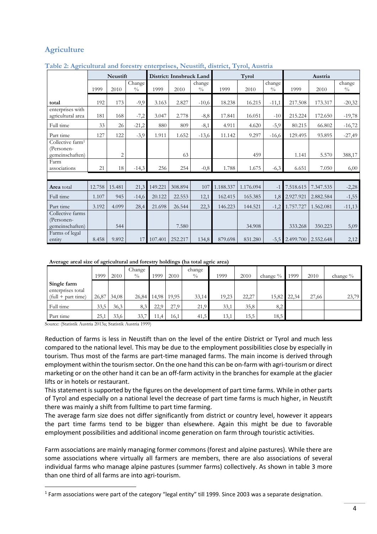### **Agriculture**

|                                                               |        | Neustift       |                         | District: Innsbruck Land |         |                         |           | Tyrol     |                         |                  | Austria   |                         |  |
|---------------------------------------------------------------|--------|----------------|-------------------------|--------------------------|---------|-------------------------|-----------|-----------|-------------------------|------------------|-----------|-------------------------|--|
|                                                               | 1999   | 2010           | Change<br>$\frac{0}{0}$ | 1999                     | 2010    | change<br>$\frac{0}{0}$ | 1999      | 2010      | change<br>$\frac{0}{0}$ | 1999             | 2010      | change<br>$\frac{0}{0}$ |  |
| total                                                         | 192    | 173            | $-9,9$                  | 3.163                    | 2.827   | $-10,6$                 | 18.238    | 16.215    | $-11,1$                 | 217.508          | 173.317   | $-20,32$                |  |
| enterprises with<br>agricultural area                         | 181    | 168            | $-7,2$                  | 3.047                    | 2.778   | $-8,8$                  | 17.841    | 16.051    | $-10$                   | 215.224          | 172.650   | $-19,78$                |  |
| Full time                                                     | 33     | 26             | $-21,2$                 | 880                      | 809     | $-8,1$                  | 4.911     | 4.620     | $-5,9$                  | 80.215           | 66.802    | $-16,72$                |  |
| Part time                                                     | 127    | 122            | $-3,9$                  | 1.911                    | 1.652   | $-13,6$                 | 11.142    | 9.297     | $-16,6$                 | 129.495          | 93.895    | $-27,49$                |  |
| Collective farm <sup>1</sup><br>(Personen-<br>gemeinschaften) |        | $\overline{c}$ |                         |                          | 63      |                         |           | 459       |                         | 1.141            | 5.570     | 388,17                  |  |
| Farm<br>associations                                          | 21     | 18             | $-14,3$                 | 256                      | 254     | $-0,8$                  | 1.788     | 1.675     | $-6,3$                  | 6.651            | 7.050     | 6,00                    |  |
|                                                               |        |                |                         |                          |         |                         |           |           |                         |                  |           |                         |  |
| <b>Area</b> total                                             | 12.758 | 15.481         | 21,3                    | 149.221                  | 308.894 | 107                     | 1.188.337 | 1.176.094 | $-1$                    | 7.518.615        | 7.347.535 | $-2,28$                 |  |
| Full time                                                     | 1.107  | 945            | $-14,6$                 | 20.122                   | 22.553  | 12,1                    | 162.415   | 165.385   | 1,8                     | 2.927.921        | 2.882.584 | $-1,55$                 |  |
| Part time                                                     | 3.192  | 4.099          | 28,4                    | 21.698                   | 26.544  | 22,3                    | 146.223   | 144.521   | $-1,2$                  | 1.757.727        | 1.562.081 | $-11,13$                |  |
| Collective farms<br>(Personen-<br>gemeinschaften)             |        | 544            |                         |                          | 7.580   |                         |           | 34.908    |                         | 333.268          | 350.223   | 5,09                    |  |
| Farms of legal<br>entity                                      | 8.458  | 9.892          | 17                      | 107.401                  | 252.217 | 134,8                   | 879.698   | 831.280   |                         | $-5,5$ 2.499.700 | 2.552.648 | 2,12                    |  |

### **Table 2: Agricultural and forestry enterprises, Neustift, district, Tyrol, Austria**

### **Average areal size of agricultural and forestry holdings (ha total agric area)**

|                                                          | 1999  | 2010  | Change<br>$\frac{0}{0}$ | 1999  | 2010  | change<br>$\frac{0}{0}$ | 1999  | 2010  | change % | 1999        | 2010  | change % |
|----------------------------------------------------------|-------|-------|-------------------------|-------|-------|-------------------------|-------|-------|----------|-------------|-------|----------|
| Single farm<br>enterprises total<br>$(full + part time)$ | 26,87 | 34,08 | 26,84                   | 14,98 | 19,95 | 33,14                   | 19,23 | 22,27 |          | 15,82 22,34 | 27,66 | 23,79    |
| Full time                                                | 33,5  | 36,3  | 8,3                     | 22,9  | 27,9  | 21,9                    | 33,1  | 35,8  | 8,2      |             |       |          |
| Part time                                                | 25,1  | 33,6  | 33,7                    | 11,4  | 16,1  | 41,5                    | 13,1  | 15,5  | 18,5     |             |       |          |

Source: (Statistik Austria 2013a; Statistik Austria 1999)

l

Reduction of farms is less in Neustift than on the level of the entire District or Tyrol and much less compared to the national level. This may be due to the employment possibilities close by especially in tourism. Thus most of the farms are part-time managed farms. The main income is derived through employment within the tourism sector. On the one hand this can be on-farm with agri-tourism or direct marketing or on the other hand it can be an off-farm activity in the branches for example at the glacier lifts or in hotels or restaurant.

This statement is supported by the figures on the development of part time farms. While in other parts of Tyrol and especially on a national level the decrease of part time farms is much higher, in Neustift there was mainly a shift from fulltime to part time farming.

The average farm size does not differ significantly from district or country level, however it appears the part time farms tend to be bigger than elsewhere. Again this might be due to favorable employment possibilities and additional income generation on farm through touristic activities.

Farm associations are mainly managing former commons (forest and alpine pastures). While there are some associations where virtually all farmers are members, there are also associations of several individual farms who manage alpine pastures (summer farms) collectively. As shown in table 3 more than one third of all farms are into agri-tourism.

<sup>&</sup>lt;sup>1</sup> Farm associations were part of the category "legal entity" till 1999. Since 2003 was a separate designation.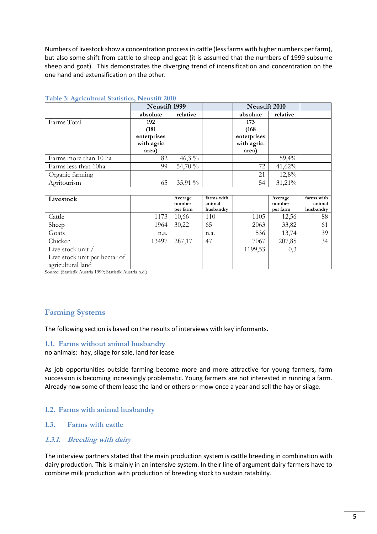Numbers of livestock show a concentration process in cattle (less farms with higher numbers per farm), but also some shift from cattle to sheep and goat (it is assumed that the numbers of 1999 subsume sheep and goat). This demonstrates the diverging trend of intensification and concentration on the one hand and extensification on the other.

|                               | <b>Neustift 1999</b> |                    |                     | Neustift 2010 |                    |                     |
|-------------------------------|----------------------|--------------------|---------------------|---------------|--------------------|---------------------|
|                               | absolute             | relative           |                     | absolute      | relative           |                     |
| Farms Total                   | 192                  |                    |                     | 173           |                    |                     |
|                               | (181)                |                    |                     | (168)         |                    |                     |
|                               | enterprises          |                    |                     | enterprises   |                    |                     |
|                               | with agric           |                    |                     | with agric.   |                    |                     |
|                               | area)                |                    |                     | area)         |                    |                     |
| Farms more than 10 ha         | 82                   | 46,3 $\%$          |                     |               | 59,4%              |                     |
| Farms less than 10ha          | 99                   | 54,70 %            |                     | 72            | 41,62%             |                     |
| Organic farming               |                      |                    |                     | 21            | 12,8%              |                     |
| Agritourism                   | 65                   | 35,91 %            |                     | 54            | 31,21%             |                     |
|                               |                      |                    |                     |               |                    |                     |
| Livestock                     |                      | Average            | farms with          |               | Average            | farms with          |
|                               |                      | number<br>per farm | animal<br>husbandry |               | number<br>per farm | animal<br>husbandry |
| Cattle                        | 1173                 | 10,66              | 110                 | 1105          | 12,56              | 88                  |
| Sheep                         | 1964                 | 30,22              | 65                  | 2063          | 33,82              | 61                  |
| Goats                         | n.a.                 |                    | n.a.                | 536           | 13,74              | 39                  |
| Chicken                       | 13497                | 287,17             | 47                  | 7067          | 207,85             | 34                  |
| Live stock unit /             |                      |                    |                     | 1199,53       | 0,3                |                     |
| Live stock unit per hectar of |                      |                    |                     |               |                    |                     |
| agricultural land             |                      |                    |                     |               |                    |                     |

### **Table 3: Agricultural Statistics, Neustift 2010**

Source: (Statistik Austria 1999; Statistik Austria n.d.)

### **Farming Systems**

The following section is based on the results of interviews with key informants.

### **1.1. Farms without animal husbandry**

no animals: hay, silage for sale, land for lease

As job opportunities outside farming become more and more attractive for young farmers, farm succession is becoming increasingly problematic. Young farmers are not interested in running a farm. Already now some of them lease the land or others or mow once a year and sell the hay or silage.

### **1.2. Farms with animal husbandry**

### **1.3. Farms with cattle**

### **1.3.1. Breeding with dairy**

The interview partners stated that the main production system is cattle breeding in combination with dairy production. This is mainly in an intensive system. In their line of argument dairy farmers have to combine milk production with production of breeding stock to sustain ratability.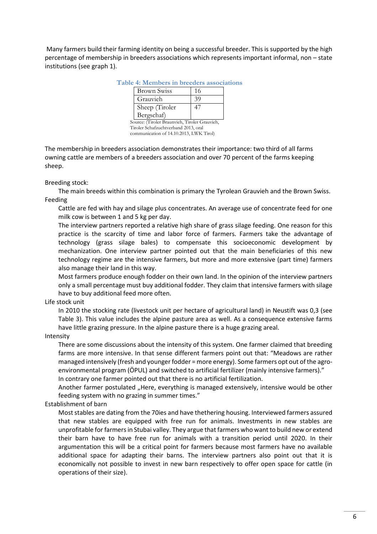Many farmers build their farming identity on being a successful breeder. This is supported by the high percentage of membership in breeders associations which represents important informal, non – state institutions (see graph 1).

|  |  |  |  | Table 4: Members in breeders associations |
|--|--|--|--|-------------------------------------------|
|--|--|--|--|-------------------------------------------|

| <b>Brown Swiss</b> |    |
|--------------------|----|
| Grauvieh           | 39 |
| Sheep (Tiroler     |    |
| Bergschaf)         |    |

Source: (Tiroler Braunvieh, Tiroler Grauvieh, Tiroler Schafzuchtverband 2013, oral communication of 14.10.2013, LWK Tirol)

The membership in breeders association demonstrates their importance: two third of all farms owning cattle are members of a breeders association and over 70 percent of the farms keeping sheep.

### Breeding stock:

The main breeds within this combination is primary the Tyrolean Grauvieh and the Brown Swiss. Feeding

Cattle are fed with hay and silage plus concentrates. An average use of concentrate feed for one milk cow is between 1 and 5 kg per day.

The interview partners reported a relative high share of grass silage feeding. One reason for this practice is the scarcity of time and labor force of farmers. Farmers take the advantage of technology (grass silage bales) to compensate this socioeconomic development by mechanization. One interview partner pointed out that the main beneficiaries of this new technology regime are the intensive farmers, but more and more extensive (part time) farmers also manage their land in this way.

Most farmers produce enough fodder on their own land. In the opinion of the interview partners only a small percentage must buy additional fodder. They claim that intensive farmers with silage have to buy additional feed more often.

Life stock unit

In 2010 the stocking rate (livestock unit per hectare of agricultural land) in Neustift was 0,3 (see Table 3). This value includes the alpine pasture area as well. As a consequence extensive farms have little grazing pressure. In the alpine pasture there is a huge grazing areal.

Intensity

There are some discussions about the intensity of this system. One farmer claimed that breeding farms are more intensive. In that sense different farmers point out that: "Meadows are rather managed intensively (fresh and younger fodder = more energy). Some farmers opt out of the agroenvironmental program (ÖPUL) and switched to artificial fertilizer (mainly intensive farmers)." In contrary one farmer pointed out that there is no artificial fertilization.

Another farmer postulated "Here, everything is managed extensively, intensive would be other feeding system with no grazing in summer times."

Establishment of barn

Most stables are dating from the 70ies and have thethering housing. Interviewed farmers assured that new stables are equipped with free run for animals. Investments in new stables are unprofitable for farmers in Stubai valley. They argue that farmers who want to build new or extend their barn have to have free run for animals with a transition period until 2020. In their argumentation this will be a critical point for farmers because most farmers have no available additional space for adapting their barns. The interview partners also point out that it is economically not possible to invest in new barn respectively to offer open space for cattle (in operations of their size).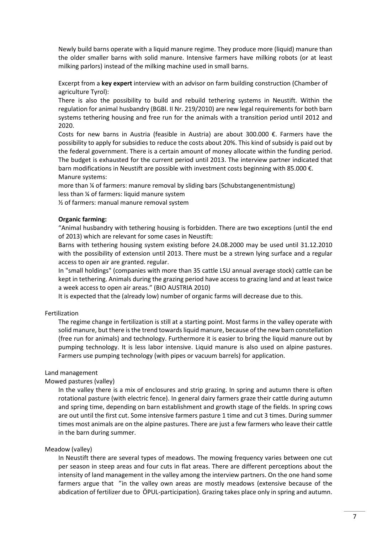Newly build barns operate with a liquid manure regime. They produce more (liquid) manure than the older smaller barns with solid manure. Intensive farmers have milking robots (or at least milking parlors) instead of the milking machine used in small barns.

Excerpt from a **key expert** interview with an advisor on farm building construction (Chamber of agriculture Tyrol):

There is also the possibility to build and rebuild tethering systems in Neustift. Within the regulation for animal husbandry (BGBl. II Nr. 219/2010) are new legal requirements for both barn systems tethering housing and free run for the animals with a transition period until 2012 and 2020.

Costs for new barns in Austria (feasible in Austria) are about 300.000  $\epsilon$ . Farmers have the possibility to apply for subsidies to reduce the costs about 20%. This kind of subsidy is paid out by the federal government. There is a certain amount of money allocate within the funding period. The budget is exhausted for the current period until 2013. The interview partner indicated that barn modifications in Neustift are possible with investment costs beginning with 85.000 €. Manure systems:

more than % of farmers: manure removal by sliding bars (Schubstangenentmistung) less than ¼ of farmers: liquid manure system

½ of farmers: manual manure removal system

### **Organic farming:**

"Animal husbandry with tethering housing is forbidden. There are two exceptions (until the end of 2013) which are relevant for some cases in Neustift:

Barns with tethering housing system existing before 24.08.2000 may be used until 31.12.2010 with the possibility of extension until 2013. There must be a strewn lying surface and a regular access to open air are granted. regular.

In "small holdings" (companies with more than 35 cattle LSU annual average stock) cattle can be kept in tethering. Animals during the grazing period have access to grazing land and at least twice a week access to open air areas." (BIO AUSTRIA 2010)

It is expected that the (already low) number of organic farms will decrease due to this.

### Fertilization

The regime change in fertilization is still at a starting point. Most farms in the valley operate with solid manure, but there is the trend towards liquid manure, because of the new barn constellation (free run for animals) and technology. Furthermore it is easier to bring the liquid manure out by pumping technology. It is less labor intensive. Liquid manure is also used on alpine pastures. Farmers use pumping technology (with pipes or vacuum barrels) for application.

### Land management

Mowed pastures (valley)

In the valley there is a mix of enclosures and strip grazing. In spring and autumn there is often rotational pasture (with electric fence). In general dairy farmers graze their cattle during autumn and spring time, depending on barn establishment and growth stage of the fields. In spring cows are out until the first cut. Some intensive farmers pasture 1 time and cut 3 times. During summer times most animals are on the alpine pastures. There are just a few farmers who leave their cattle in the barn during summer.

### Meadow (valley)

In Neustift there are several types of meadows. The mowing frequency varies between one cut per season in steep areas and four cuts in flat areas. There are different perceptions about the intensity of land management in the valley among the interview partners. On the one hand some farmers argue that "in the valley own areas are mostly meadows (extensive because of the abdication of fertilizer due to ÖPUL-participation). Grazing takes place only in spring and autumn.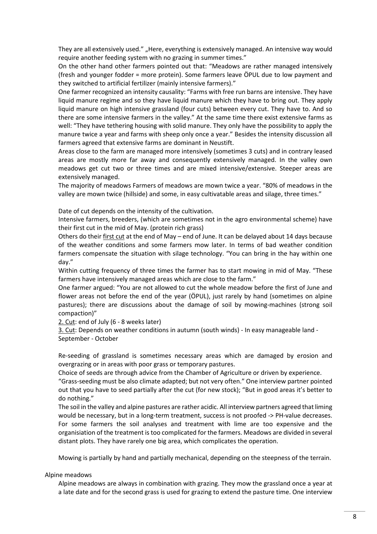They are all extensively used." "Here, everything is extensively managed. An intensive way would require another feeding system with no grazing in summer times."

On the other hand other farmers pointed out that: "Meadows are rather managed intensively (fresh and younger fodder = more protein). Some farmers leave ÖPUL due to low payment and they switched to artificial fertilizer (mainly intensive farmers)."

One farmer recognized an intensity causality: "Farms with free run barns are intensive. They have liquid manure regime and so they have liquid manure which they have to bring out. They apply liquid manure on high intensive grassland (four cuts) between every cut. They have to. And so there are some intensive farmers in the valley." At the same time there exist extensive farms as well: "They have tethering housing with solid manure. They only have the possibility to apply the manure twice a year and farms with sheep only once a year." Besides the intensity discussion all farmers agreed that extensive farms are dominant in Neustift.

Areas close to the farm are managed more intensively (sometimes 3 cuts) and in contrary leased areas are mostly more far away and consequently extensively managed. In the valley own meadows get cut two or three times and are mixed intensive/extensive. Steeper areas are extensively managed.

The majority of meadows Farmers of meadows are mown twice a year. "80% of meadows in the valley are mown twice (hillside) and some, in easy cultivatable areas and silage, three times."

Date of cut depends on the intensity of the cultivation.

Intensive farmers, breeders, (which are sometimes not in the agro environmental scheme) have their first cut in the mid of May. (protein rich grass)

Others do their first cut at the end of May – end of June. It can be delayed about 14 days because of the weather conditions and some farmers mow later. In terms of bad weather condition farmers compensate the situation with silage technology. "You can bring in the hay within one day."

Within cutting frequency of three times the farmer has to start mowing in mid of May. "These farmers have intensively managed areas which are close to the farm."

One farmer argued: "You are not allowed to cut the whole meadow before the first of June and flower areas not before the end of the year (ÖPUL), just rarely by hand (sometimes on alpine pastures); there are discussions about the damage of soil by mowing-machines (strong soil compaction)"

2. Cut: end of July (6 - 8 weeks later)

3. Cut: Depends on weather conditions in autumn (south winds) - In easy manageable land - September - October

Re-seeding of grassland is sometimes necessary areas which are damaged by erosion and overgrazing or in areas with poor grass or temporary pastures.

Choice of seeds are through advice from the Chamber of Agriculture or driven by experience.

"Grass-seeding must be also climate adapted; but not very often." One interview partner pointed out that you have to seed partially after the cut (for new stock); "But in good areas it's better to do nothing."

The soil in the valley and alpine pastures are rather acidic. All interview partners agreed that liming would be necessary, but in a long-term treatment, success is not proofed -> PH-value decreases. For some farmers the soil analyses and treatment with lime are too expensive and the organisiation of the treatment is too complicated for the farmers. Meadows are divided in several distant plots. They have rarely one big area, which complicates the operation.

Mowing is partially by hand and partially mechanical, depending on the steepness of the terrain.

Alpine meadows

Alpine meadows are always in combination with grazing. They mow the grassland once a year at a late date and for the second grass is used for grazing to extend the pasture time. One interview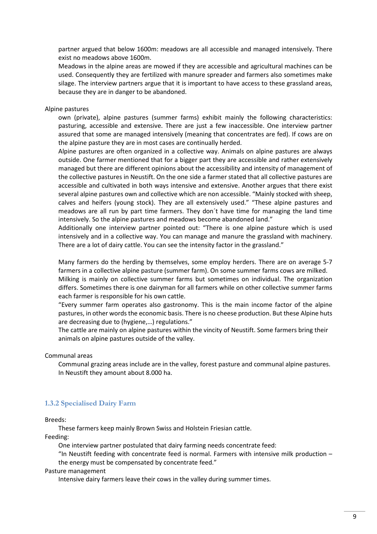partner argued that below 1600m: meadows are all accessible and managed intensively. There exist no meadows above 1600m.

Meadows in the alpine areas are mowed if they are accessible and agricultural machines can be used. Consequently they are fertilized with manure spreader and farmers also sometimes make silage. The interview partners argue that it is important to have access to these grassland areas, because they are in danger to be abandoned.

### Alpine pastures

own (private), alpine pastures (summer farms) exhibit mainly the following characteristics: pasturing, accessible and extensive. There are just a few inaccessible. One interview partner assured that some are managed intensively (meaning that concentrates are fed). If cows are on the alpine pasture they are in most cases are continually herded.

Alpine pastures are often organized in a collective way. Animals on alpine pastures are always outside. One farmer mentioned that for a bigger part they are accessible and rather extensively managed but there are different opinions about the accessibility and intensity of management of the collective pastures in Neustift. On the one side a farmer stated that all collective pastures are accessible and cultivated in both ways intensive and extensive. Another argues that there exist several alpine pastures own and collective which are non accessible. "Mainly stocked with sheep, calves and heifers (young stock). They are all extensively used." "These alpine pastures and meadows are all run by part time farmers. They don´t have time for managing the land time intensively. So the alpine pastures and meadows become abandoned land."

Additionally one interview partner pointed out: "There is one alpine pasture which is used intensively and in a collective way. You can manage and manure the grassland with machinery. There are a lot of dairy cattle. You can see the intensity factor in the grassland."

Many farmers do the herding by themselves, some employ herders. There are on average 5-7 farmers in a collective alpine pasture (summer farm). On some summer farms cows are milked.

Milking is mainly on collective summer farms but sometimes on individual. The organization differs. Sometimes there is one dairyman for all farmers while on other collective summer farms each farmer is responsible for his own cattle.

"Every summer farm operates also gastronomy. This is the main income factor of the alpine pastures, in other words the economic basis. There is no cheese production. But these Alpine huts are decreasing due to (hygiene,…) regulations."

The cattle are mainly on alpine pastures within the vincity of Neustift. Some farmers bring their animals on alpine pastures outside of the valley.

Communal areas

Communal grazing areas include are in the valley, forest pasture and communal alpine pastures. In Neustift they amount about 8.000 ha.

### **1.3.2 Specialised Dairy Farm**

Breeds:

These farmers keep mainly Brown Swiss and Holstein Friesian cattle. Feeding:

One interview partner postulated that dairy farming needs concentrate feed:

"In Neustift feeding with concentrate feed is normal. Farmers with intensive milk production  $-$ 

the energy must be compensated by concentrate feed."

Pasture management

Intensive dairy farmers leave their cows in the valley during summer times.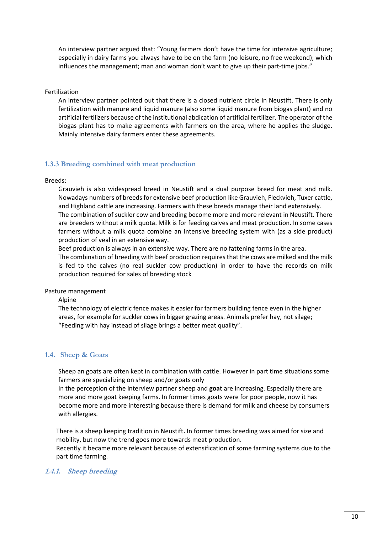An interview partner argued that: "Young farmers don't have the time for intensive agriculture; especially in dairy farms you always have to be on the farm (no leisure, no free weekend); which influences the management; man and woman don't want to give up their part-time jobs."

Fertilization

An interview partner pointed out that there is a closed nutrient circle in Neustift. There is only fertilization with manure and liquid manure (also some liquid manure from biogas plant) and no artificial fertilizers because of the institutional abdication of artificial fertilizer. The operator of the biogas plant has to make agreements with farmers on the area, where he applies the sludge. Mainly intensive dairy farmers enter these agreements.

### **1.3.3 Breeding combined with meat production**

Breeds:

Grauvieh is also widespread breed in Neustift and a dual purpose breed for meat and milk. Nowadays numbers of breeds for extensive beef production like Grauvieh, Fleckvieh, Tuxer cattle, and Highland cattle are increasing. Farmers with these breeds manage their land extensively. The combination of suckler cow and breeding become more and more relevant in Neustift. There are breeders without a milk quota. Milk is for feeding calves and meat production. In some cases farmers without a milk quota combine an intensive breeding system with (as a side product) production of veal in an extensive way.

Beef production is always in an extensive way. There are no fattening farms in the area.

The combination of breeding with beef production requires that the cows are milked and the milk is fed to the calves (no real suckler cow production) in order to have the records on milk production required for sales of breeding stock

Pasture management

Alpine

The technology of electric fence makes it easier for farmers building fence even in the higher areas, for example for suckler cows in bigger grazing areas. Animals prefer hay, not silage; "Feeding with hay instead of silage brings a better meat quality".

### **1.4. Sheep & Goats**

Sheep an goats are often kept in combination with cattle. However in part time situations some farmers are specializing on sheep and/or goats only

In the perception of the interview partner sheep and **goat** are increasing. Especially there are more and more goat keeping farms. In former times goats were for poor people, now it has become more and more interesting because there is demand for milk and cheese by consumers with allergies.

There is a sheep keeping tradition in Neustift**.** In former times breeding was aimed for size and mobility, but now the trend goes more towards meat production.

Recently it became more relevant because of extensification of some farming systems due to the part time farming.

### **1.4.1. Sheep breeding**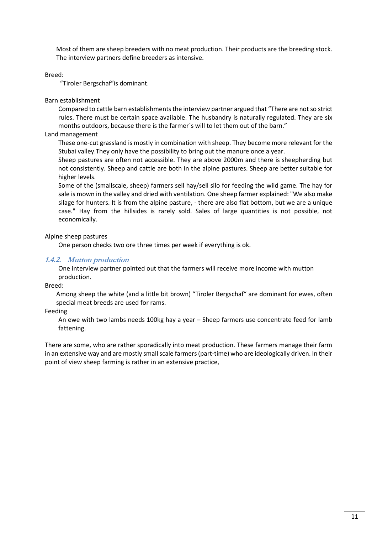Most of them are sheep breeders with no meat production. Their products are the breeding stock. The interview partners define breeders as intensive.

### Breed:

"Tiroler Bergschaf"is dominant.

### Barn establishment

Compared to cattle barn establishments the interview partner argued that "There are not so strict rules. There must be certain space available. The husbandry is naturally regulated. They are six months outdoors, because there is the farmer´s will to let them out of the barn."

### Land management

These one-cut grassland is mostly in combination with sheep. They become more relevant for the Stubai valley.They only have the possibility to bring out the manure once a year.

Sheep pastures are often not accessible. They are above 2000m and there is sheepherding but not consistently. Sheep and cattle are both in the alpine pastures. Sheep are better suitable for higher levels.

Some of the (smallscale, sheep) farmers sell hay/sell silo for feeding the wild game. The hay for sale is mown in the valley and dried with ventilation. One sheep farmer explained: "We also make silage for hunters. It is from the alpine pasture, - there are also flat bottom, but we are a unique case." Hay from the hillsides is rarely sold. Sales of large quantities is not possible, not economically.

### Alpine sheep pastures

One person checks two ore three times per week if everything is ok.

### **1.4.2. Mutton production**

One interview partner pointed out that the farmers will receive more income with mutton production.

### Breed:

Among sheep the white (and a little bit brown) "Tiroler Bergschaf" are dominant for ewes, often special meat breeds are used for rams.

### Feeding

An ewe with two lambs needs 100kg hay a year – Sheep farmers use concentrate feed for lamb fattening.

There are some, who are rather sporadically into meat production. These farmers manage their farm in an extensive way and are mostly small scale farmers (part-time) who are ideologically driven. In their point of view sheep farming is rather in an extensive practice,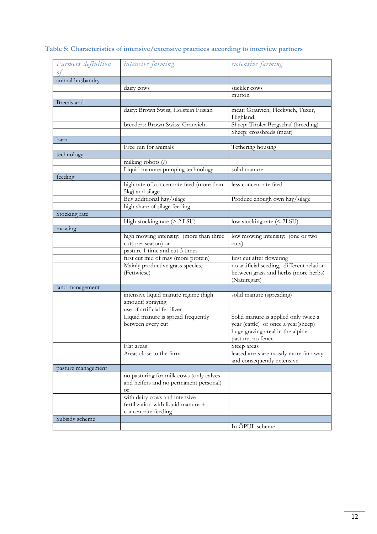| Farmers definition     | intensive farming                                           | extensive farming                         |
|------------------------|-------------------------------------------------------------|-------------------------------------------|
| 0t<br>animal husbandry |                                                             |                                           |
|                        | dairy cows                                                  | suckler cows                              |
|                        |                                                             | mutton                                    |
| Breeds and             |                                                             |                                           |
|                        | dairy: Brown Swiss; Holstein Frisian                        | meat: Grauvieh, Fleckvieh, Tuxer,         |
|                        |                                                             | Highland,                                 |
|                        | breeders: Brown Swiss; Grauvieh                             | Sheep: Tiroler Bergschaf (breeding)       |
|                        |                                                             | Sheep: crossbreds (meat)                  |
| barn                   |                                                             |                                           |
|                        | Free run for animals                                        | Tethering housing                         |
| technology             |                                                             |                                           |
|                        | milking robots (?)                                          |                                           |
|                        | Liquid manure: pumping technology                           | solid manure                              |
| feeding                |                                                             |                                           |
|                        | high rate of concentrate feed (more than<br>5kg) and silage | less concentrate feed                     |
|                        | Buy additional hay/silage                                   | Produce enough own hay/silage             |
|                        | high share of silage feeding                                |                                           |
| Stocking rate          |                                                             |                                           |
|                        | High stocking rate (> 2 LSU)                                | low stocking rate (< 2LSU)                |
|                        |                                                             |                                           |
| mowing                 | high mowing intensity: (more than three                     | low mowing intensity: (one or two         |
|                        | cuts per season) or                                         | cuts)                                     |
|                        | pasture 1 time and cut 3 times                              |                                           |
|                        | first cut mid of may (more protein)                         | first cut after flowering                 |
|                        | Mainly productive grass species,                            | no artificial seeding, different relation |
|                        | (Fettwiese)                                                 | between grass and herbs (more herbs)      |
|                        |                                                             | (Naturegart)                              |
| land management        |                                                             |                                           |
|                        | intensive liquid manure regime (high                        | solid manure (spreading)                  |
|                        | amount) spraying                                            |                                           |
|                        | use of artificial fertilizer                                |                                           |
|                        | Liquid manure is spread frequently                          | Solid manure is applied only twice a      |
|                        | between every cut                                           | year (cattle) or once a year(sheep)       |
|                        |                                                             | huge grazing areal in the alpine          |
|                        |                                                             | pasture; no fence                         |
|                        | Flat areas                                                  | Steep areas                               |
|                        | Areas close to the farm                                     | leased areas are mostly more far away     |
|                        |                                                             | and consequently extensive                |
| pasture management     |                                                             |                                           |
|                        | no pasturing for milk cows (only calves                     |                                           |
|                        | and heifers and no permanent personal)                      |                                           |
|                        | <b>or</b>                                                   |                                           |
|                        | with dairy cows and intensive                               |                                           |
|                        | fertilization with liquid manure +                          |                                           |
|                        | concentrate feeding                                         |                                           |
| Subsidy scheme         |                                                             |                                           |
|                        |                                                             | In ÖPUL scheme                            |
|                        |                                                             |                                           |

### **Table 5: Characteristics of intensive/extensive practices according to interview partners**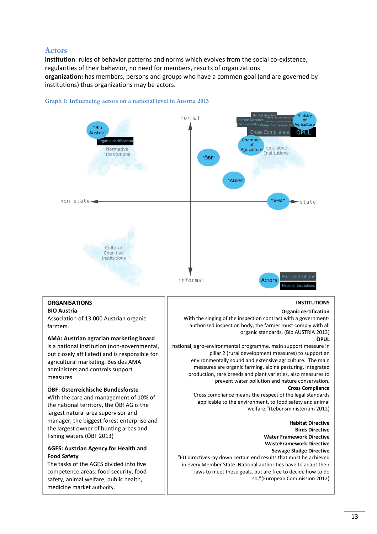### **Actors**

**institution**: rules of behavior patterns and norms which evolves from the social co-existence, regularities of their behavior, no need for members, results of organizations **organization:** has members, persons and groups who have a common goal (and are governed by institutions) thus organizations may be actors.



#### **Graph 1: Influencing actors on a national level in Austria 2013**

(Bundesministerium für Gesundheit 2013)<br>1980 – Elektronik 2013)<br>1980 – Gesundheit 2013, Schweiz 2013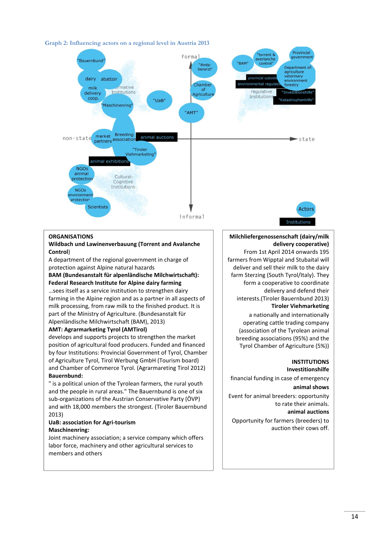

### **Graph 2: Influencing actors on a regional level in Austria 2013**

### **ORGANISATIONS**

#### **Wildbach und Lawinenverbauung (Torrent and Avalanche Control**)

A department of the regional government in charge of protection against Alpine natural hazards

### **BAM (Bundesanstalt für alpenländische Milchwirtschaft): Federal Research Institute for Alpine dairy farming**

…sees itself as a service institution to strengthen dairy farming in the Alpine region and as a partner in all aspects of milk processing, from raw milk to the finished product. It is part of the Ministry of Agriculture. (Bundesanstalt für Alpenländische Milchwirtschaft (BAM), 2013)

### **AMT: Agrarmarketing Tyrol (AMTirol)**

develops and supports projects to strengthen the market position of agricultural food producers. Funded and financed by four Institutions: Provincial Government of Tyrol, Chamber of Agriculture Tyrol, Tirol Werbung GmbH (Tourism board) and Chamber of Commerce Tyrol. (Agrarmareting Tirol 2012) **Bauernbund:** 

" is a political union of the Tyrolean farmers, the rural youth and the people in rural areas." The Bauernbund is one of six sub-organizations of the Austrian Conservative Party (ÖVP) and with 18,000 members the strongest. (Tiroler Bauernbund 2013)

### **UaB: association for Agri-tourism Maschinenring:**

Joint machinery association; a service company which offers labor force, machinery and other agricultural services to members and others

### **Milchliefergenossenschaft (dairy/milk delivery cooperative)**

From 1st April 2014 onwards 195 farmers from Wipptal and Stubaital will deliver and sell their milk to the dairy farm Sterzing (South Tyrol/Italy). They form a cooperative to coordinate delivery and defend their interests.(Tiroler Bauernbund 2013) **Tiroler Viehmarketing** 

a nationally and internationally operating cattle trading company (association of the Tyrolean animal breeding associations (95%) and the Tyrol Chamber of Agriculture (5%))

### **INSTITUTIONS**

#### **Investitionshilfe**

financial funding in case of emergency

### **animal shows**

Event for animal breeders: opportunity to rate their animals. **animal auctions** 

Opportunity for farmers (breeders) to auction their cows off.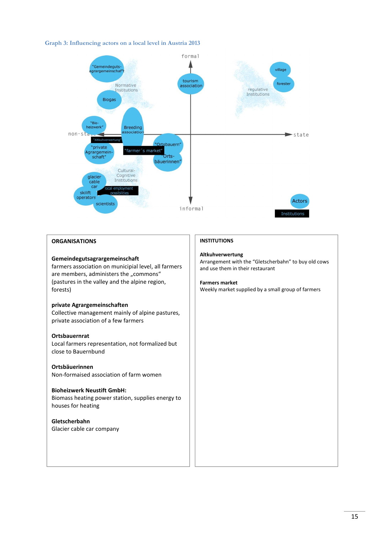### **Graph 3: Influencing actors on a local level in Austria 2013**



### **ORGANISATIONS**

### **Gemeindegutsagrargemeinschaft**

farmers association on municipial level, all farmers are members, administers the "commons" (pastures in the valley and the alpine region, forests)

### **private Agrargemeinschaften**

Collective management mainly of alpine pastures, private association of a few farmers

#### **Ortsbauernrat**

Local farmers representation, not formalized but close to Bauernbund

### **Ortsbäuerinnen**

Non-formaised association of farm women

### **Bioheizwerk Neustift GmbH:**

Biomass heating power station, supplies energy to houses for heating

### **Gletscherbahn**  Glacier cable car company

### **INSTITUTIONS**

### **Altkuhverwertung**

Arrangement with the "Gletscherbahn" to buy old cows and use them in their restaurant

#### **Farmers market**

Weekly market supplied by a small group of farmers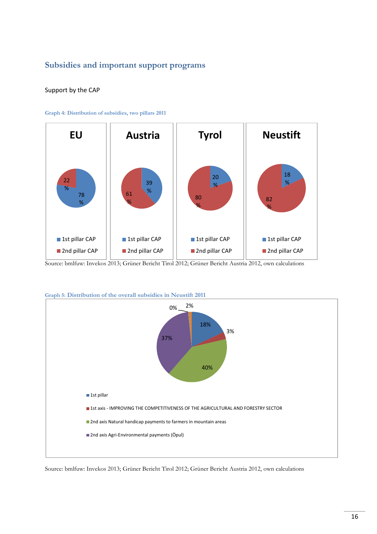### **Subsidies and important support programs**

### Support by the CAP



**Graph 4: Distribution of subsidies, two pillars 2011** 

Source: bmlfuw: Invekos 2013; Grüner Bericht Tirol 2012; Grüner Bericht Austria 2012, own calculations



**Graph 5: Distribution of the overall subsidies in Neustift 2011** 

Source: bmlfuw: Invekos 2013; Grüner Bericht Tirol 2012; Grüner Bericht Austria 2012, own calculations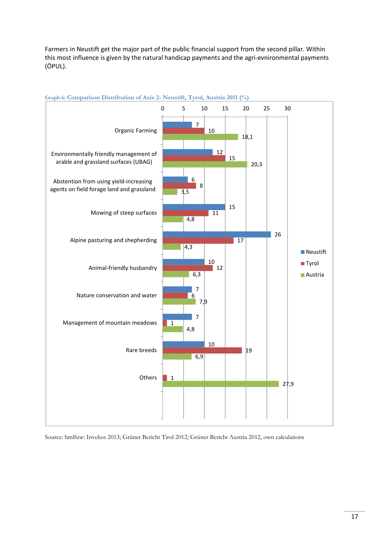Farmers in Neustift get the major part of the public financial support from the second pillar. Within this most influence is given by the natural handicap payments and the agri-evnironmental payments (ÖPUL).



### **Graph 6: Comparison Distribution of Axis 2- Neustift, Tyrol, Austria 2011 (%)**

Source: bmlfuw: Invekos 2013; Grüner Bericht Tirol 2012; Grüner Bericht Austria 2012, own calculations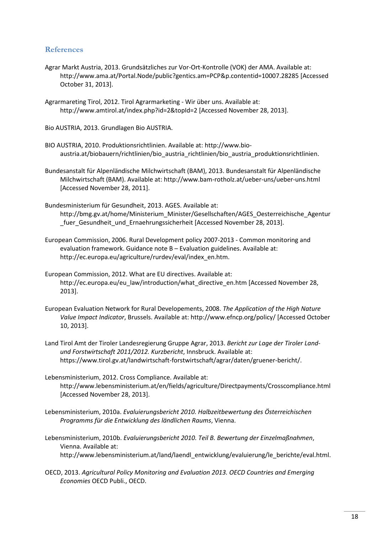### **References**

- Agrar Markt Austria, 2013. Grundsätzliches zur Vor-Ort-Kontrolle (VOK) der AMA. Available at: http://www.ama.at/Portal.Node/public?gentics.am=PCP&p.contentid=10007.28285 [Accessed October 31, 2013].
- Agrarmareting Tirol, 2012. Tirol Agrarmarketing Wir über uns. Available at: http://www.amtirol.at/index.php?id=2&topId=2 [Accessed November 28, 2013].

Bio AUSTRIA, 2013. Grundlagen Bio AUSTRIA.

- BIO AUSTRIA, 2010. Produktionsrichtlinien. Available at: http://www.bioaustria.at/biobauern/richtlinien/bio\_austria\_richtlinien/bio\_austria\_produktionsrichtlinien.
- Bundesanstalt für Alpenländische Milchwirtschaft (BAM), 2013. Bundesanstalt für Alpenländische Milchwirtschaft (BAM). Available at: http://www.bam-rotholz.at/ueber-uns/ueber-uns.html [Accessed November 28, 2011].
- Bundesministerium für Gesundheit, 2013. AGES. Available at: http://bmg.gv.at/home/Ministerium\_Minister/Gesellschaften/AGES\_Oesterreichische\_Agentur \_fuer\_Gesundheit\_und\_Ernaehrungssicherheit [Accessed November 28, 2013].
- European Commission, 2006. Rural Development policy 2007-2013 Common monitoring and evaluation framework. Guidance note B – Evaluation guidelines. Available at: http://ec.europa.eu/agriculture/rurdev/eval/index\_en.htm.
- European Commission, 2012. What are EU directives. Available at: http://ec.europa.eu/eu\_law/introduction/what\_directive\_en.htm [Accessed November 28, 2013].
- European Evaluation Network for Rural Developements, 2008. *The Application of the High Nature Value Impact Indicator*, Brussels. Available at: http://www.efncp.org/policy/ [Accessed October 10, 2013].
- Land Tirol Amt der Tiroler Landesregierung Gruppe Agrar, 2013. *Bericht zur Lage der Tiroler Landund Forstwirtschaft 2011/2012. Kurzbericht*, Innsbruck. Available at: https://www.tirol.gv.at/landwirtschaft-forstwirtschaft/agrar/daten/gruener-bericht/.
- Lebensministerium, 2012. Cross Compliance. Available at: http://www.lebensministerium.at/en/fields/agriculture/Directpayments/Crosscompliance.html [Accessed November 28, 2013].
- Lebensministerium, 2010a. *Evaluierungsbericht 2010. Halbzeitbewertung des Österreichischen Programms für die Entwicklung des ländlichen Raums*, Vienna.
- Lebensministerium, 2010b. *Evaluierungsbericht 2010. Teil B. Bewertung der Einzelmaßnahmen*, Vienna. Available at: http://www.lebensministerium.at/land/laendl\_entwicklung/evaluierung/le\_berichte/eval.html.
- OECD, 2013. *Agricultural Policy Monitoring and Evaluation 2013. OECD Countries and Emerging Economies* OECD Publi., OECD.